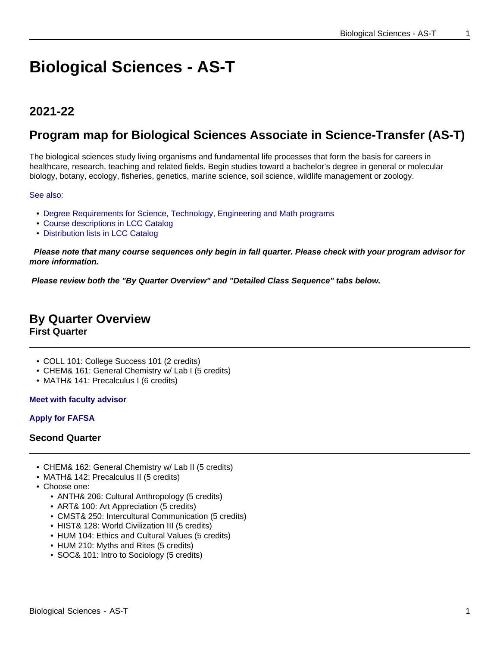# **Biological Sciences - AS-T**

## **2021-22**

## **Program map for Biological Sciences Associate in Science-Transfer (AS-T)**

The biological sciences study living organisms and fundamental life processes that form the basis for careers in healthcare, research, teaching and related fields. Begin studies toward a bachelor's degree in general or molecular biology, botany, ecology, fisheries, genetics, marine science, soil science, wildlife management or zoology.

See also:

- Degree Requirements for Science, Technology, Engineering and Math programs
- Course descriptions in LCC Catalog
- Distribution lists in LCC Catalog

 **Please note that many course sequences only begin in fall quarter. Please check with your program advisor for more information.**

**Please review both the "By Quarter Overview" and "Detailed Class Sequence" tabs below.**

## **By Quarter Overview**

**First Quarter**

- COLL 101: College Success 101 (2 credits)
- CHEM& 161: General Chemistry w/ Lab I (5 credits)
- MATH& 141: Precalculus I (6 credits)

## **Meet with faculty advisor**

## **Apply for FAFSA**

## **Second Quarter**

- CHEM& 162: General Chemistry w/ Lab II (5 credits)
- MATH& 142: Precalculus II (5 credits)
- Choose one:
	- ANTH& 206: Cultural Anthropology (5 credits)
	- ART& 100: Art Appreciation (5 credits)
	- CMST& 250: Intercultural Communication (5 credits)
	- HIST& 128: World Civilization III (5 credits)
	- HUM 104: Ethics and Cultural Values (5 credits)
	- HUM 210: Myths and Rites (5 credits)
	- SOC& 101: Intro to Sociology (5 credits)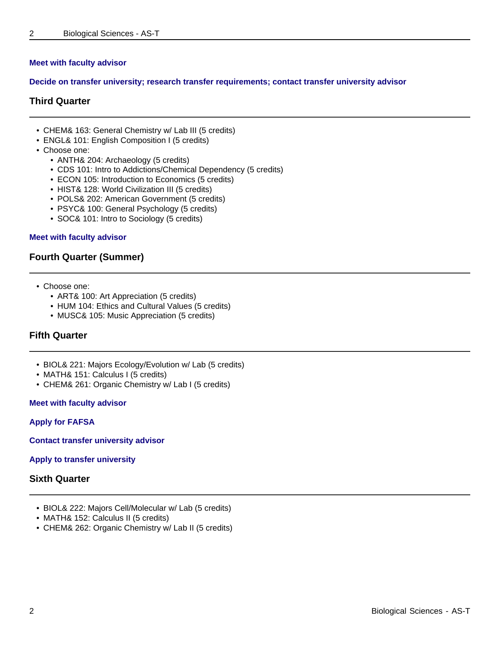## **Meet with faculty advisor**

#### **Decide on transfer university; research transfer requirements; contact transfer university advisor**

## **Third Quarter**

- CHEM& 163: General Chemistry w/ Lab III (5 credits)
- ENGL& 101: English Composition I (5 credits)
- Choose one:
	- ANTH& 204: Archaeology (5 credits)
	- CDS 101: Intro to Addictions/Chemical Dependency (5 credits)
	- ECON 105: Introduction to Economics (5 credits)
	- HIST& 128: World Civilization III (5 credits)
	- POLS& 202: American Government (5 credits)
	- PSYC& 100: General Psychology (5 credits)
	- SOC& 101: Intro to Sociology (5 credits)

#### **Meet with faculty advisor**

## **Fourth Quarter (Summer)**

- Choose one:
	- ART& 100: Art Appreciation (5 credits)
	- HUM 104: Ethics and Cultural Values (5 credits)
	- MUSC& 105: Music Appreciation (5 credits)

## **Fifth Quarter**

- BIOL& 221: Majors Ecology/Evolution w/ Lab (5 credits)
- MATH& 151: Calculus I (5 credits)
- CHEM& 261: Organic Chemistry w/ Lab I (5 credits)

#### **Meet with faculty advisor**

#### **Apply for FAFSA**

**Contact transfer university advisor**

#### **Apply to transfer university**

#### **Sixth Quarter**

- BIOL& 222: Majors Cell/Molecular w/ Lab (5 credits)
- MATH& 152: Calculus II (5 credits)
- CHEM& 262: Organic Chemistry w/ Lab II (5 credits)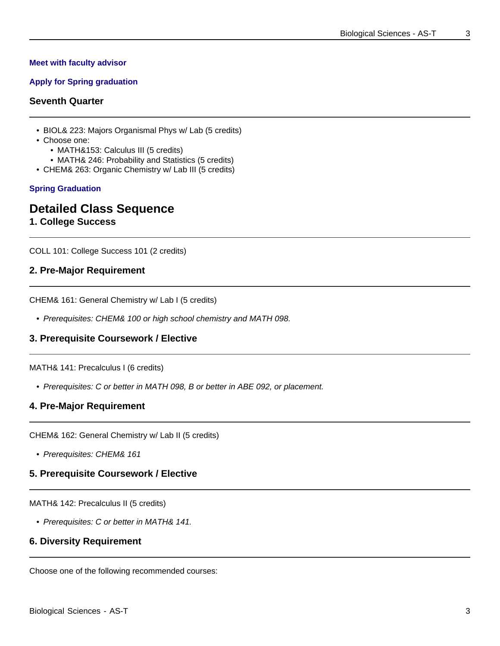#### **Meet with faculty advisor**

## **Apply for Spring graduation**

## **Seventh Quarter**

- BIOL& 223: Majors Organismal Phys w/ Lab (5 credits)
- Choose one:
	- MATH&153: Calculus III (5 credits)
- MATH& 246: Probability and Statistics (5 credits)
- CHEM& 263: Organic Chemistry w/ Lab III (5 credits)

#### **Spring Graduation**

## **Detailed Class Sequence**

**1. College Success**

COLL 101: College Success 101 (2 credits)

## **2. Pre-Major Requirement**

CHEM& 161: General Chemistry w/ Lab I (5 credits)

• Prerequisites: CHEM& 100 or high school chemistry and MATH 098.

## **3. Prerequisite Coursework / Elective**

#### MATH& 141: Precalculus I (6 credits)

• Prerequisites: C or better in MATH 098, B or better in ABE 092, or placement.

## **4. Pre-Major Requirement**

CHEM& 162: General Chemistry w/ Lab II (5 credits)

• Prerequisites: CHEM& 161

## **5. Prerequisite Coursework / Elective**

MATH& 142: Precalculus II (5 credits)

• Prerequisites: C or better in MATH& 141.

## **6. Diversity Requirement**

Choose one of the following recommended courses: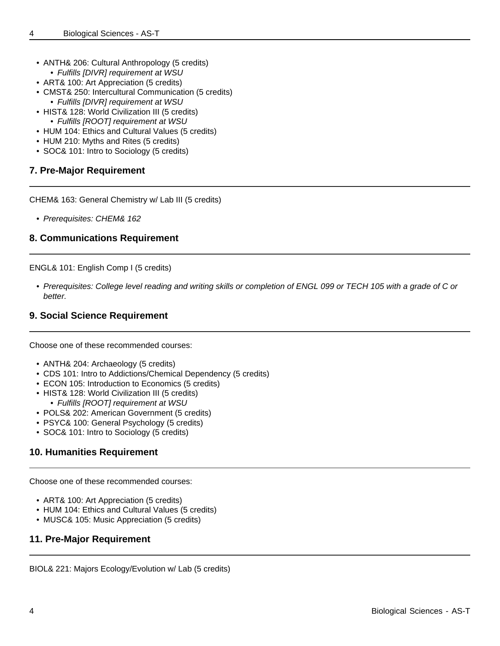- ANTH& 206: Cultural Anthropology (5 credits) • Fulfills [DIVR] requirement at WSU
- ART& 100: Art Appreciation (5 credits)
- CMST& 250: Intercultural Communication (5 credits)
- Fulfills [DIVR] requirement at WSU
- HIST& 128: World Civilization III (5 credits) • Fulfills [ROOT] requirement at WSU
- HUM 104: Ethics and Cultural Values (5 credits)
- HUM 210: Myths and Rites (5 credits)
- SOC& 101: Intro to Sociology (5 credits)

## **7. Pre-Major Requirement**

CHEM& 163: General Chemistry w/ Lab III (5 credits)

• Prerequisites: CHEM& 162

## **8. Communications Requirement**

ENGL& 101: English Comp I (5 credits)

• Prerequisites: College level reading and writing skills or completion of ENGL 099 or TECH 105 with a grade of C or better.

## **9. Social Science Requirement**

Choose one of these recommended courses:

- ANTH& 204: Archaeology (5 credits)
- CDS 101: Intro to Addictions/Chemical Dependency (5 credits)
- ECON 105: Introduction to Economics (5 credits)
- HIST& 128: World Civilization III (5 credits)
	- Fulfills [ROOT] requirement at WSU
- POLS& 202: American Government (5 credits)
- PSYC& 100: General Psychology (5 credits)
- SOC& 101: Intro to Sociology (5 credits)

## **10. Humanities Requirement**

Choose one of these recommended courses:

- ART& 100: Art Appreciation (5 credits)
- HUM 104: Ethics and Cultural Values (5 credits)
- MUSC& 105: Music Appreciation (5 credits)

## **11. Pre-Major Requirement**

BIOL& 221: Majors Ecology/Evolution w/ Lab (5 credits)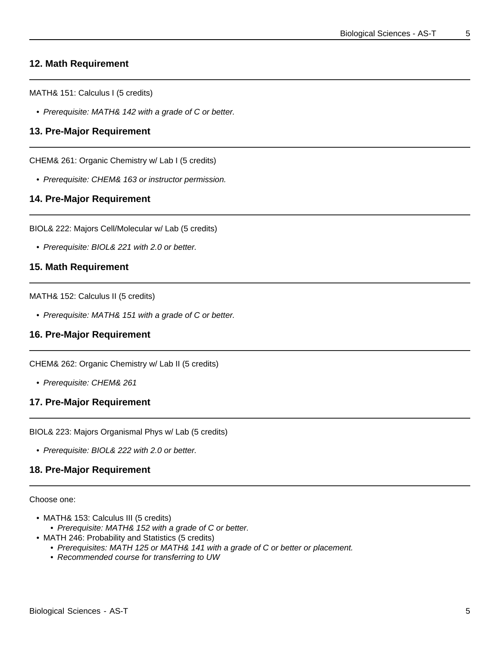## **12. Math Requirement**

MATH& 151: Calculus I (5 credits)

• Prerequisite: MATH& 142 with a grade of C or better.

## **13. Pre-Major Requirement**

CHEM& 261: Organic Chemistry w/ Lab I (5 credits)

• Prerequisite: CHEM& 163 or instructor permission.

## **14. Pre-Major Requirement**

BIOL& 222: Majors Cell/Molecular w/ Lab (5 credits)

• Prerequisite: BIOL& 221 with 2.0 or better.

## **15. Math Requirement**

MATH& 152: Calculus II (5 credits)

• Prerequisite: MATH& 151 with a grade of C or better.

## **16. Pre-Major Requirement**

CHEM& 262: Organic Chemistry w/ Lab II (5 credits)

• Prerequisite: CHEM& 261

#### **17. Pre-Major Requirement**

BIOL& 223: Majors Organismal Phys w/ Lab (5 credits)

• Prerequisite: BIOL& 222 with 2.0 or better.

## **18. Pre-Major Requirement**

Choose one:

- MATH& 153: Calculus III (5 credits)
	- Prerequisite: MATH& 152 with a grade of C or better.
- MATH 246: Probability and Statistics (5 credits)
	- Prerequisites: MATH 125 or MATH& 141 with a grade of C or better or placement.
	- Recommended course for transferring to UW